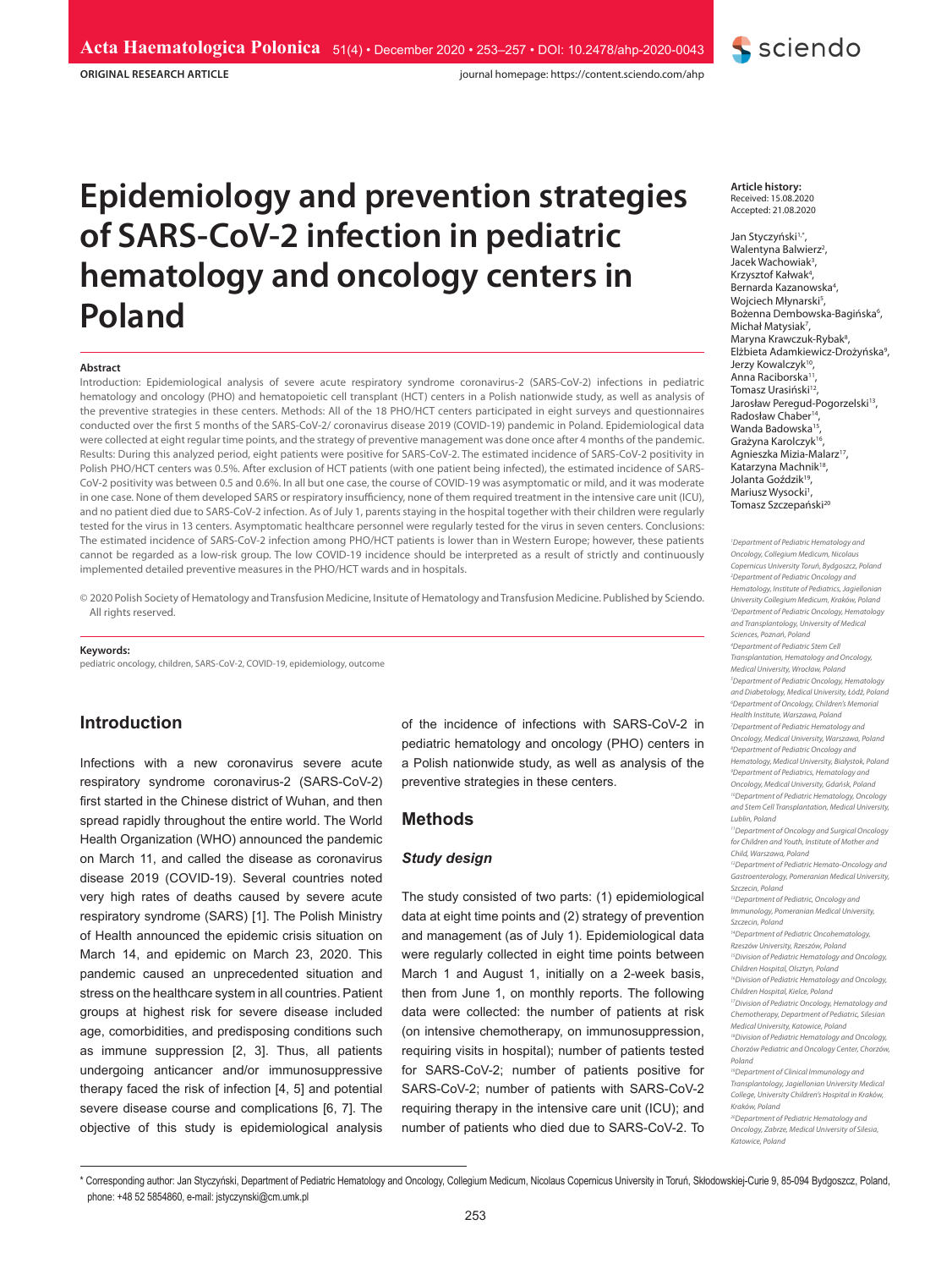**ORIGINAL RESEARCH ARTICLE**

journal homepage: https://content.sciendo.com/ahp

# **Epidemiology and prevention strategies of SARS-CoV-2 infection in pediatric hematology and oncology centers in Poland**

#### **Abstract**

Introduction: Epidemiological analysis of severe acute respiratory syndrome coronavirus-2 (SARS-CoV-2) infections in pediatric hematology and oncology (PHO) and hematopoietic cell transplant (HCT) centers in a Polish nationwide study, as well as analysis of the preventive strategies in these centers. Methods: All of the 18 PHO/HCT centers participated in eight surveys and questionnaires conducted over the first 5 months of the SARS-CoV-2/ coronavirus disease 2019 (COVID-19) pandemic in Poland. Epidemiological data were collected at eight regular time points, and the strategy of preventive management was done once after 4 months of the pandemic. Results: During this analyzed period, eight patients were positive for SARS-CoV-2. The estimated incidence of SARS-CoV-2 positivity in Polish PHO/HCT centers was 0.5%. After exclusion of HCT patients (with one patient being infected), the estimated incidence of SARS-CoV-2 positivity was between 0.5 and 0.6%. In all but one case, the course of COVID-19 was asymptomatic or mild, and it was moderate in one case. None of them developed SARS or respiratory insufficiency, none of them required treatment in the intensive care unit (ICU), and no patient died due to SARS-CoV-2 infection. As of July 1, parents staying in the hospital together with their children were regularly tested for the virus in 13 centers. Asymptomatic healthcare personnel were regularly tested for the virus in seven centers. Conclusions: The estimated incidence of SARS-CoV-2 infection among PHO/HCT patients is lower than in Western Europe; however, these patients cannot be regarded as a low-risk group. The low COVID-19 incidence should be interpreted as a result of strictly and continuously implemented detailed preventive measures in the PHO/HCT wards and in hospitals.

© 2020 Polish Society of Hematology and Transfusion Medicine, Insitute of Hematology and Transfusion Medicine. Published by Sciendo. All rights reserved.

#### **Keywords:**

pediatric oncology, children, SARS-CoV-2, COVID-19, epidemiology, outcome

# **Introduction**

Infections with a new coronavirus severe acute respiratory syndrome coronavirus-2 (SARS-CoV-2) first started in the Chinese district of Wuhan, and then spread rapidly throughout the entire world. The World Health Organization (WHO) announced the pandemic on March 11, and called the disease as coronavirus disease 2019 (COVID-19). Several countries noted very high rates of deaths caused by severe acute respiratory syndrome (SARS) [1]. The Polish Ministry of Health announced the epidemic crisis situation on March 14, and epidemic on March 23, 2020. This pandemic caused an unprecedented situation and stress on the healthcare system in all countries. Patient groups at highest risk for severe disease included age, comorbidities, and predisposing conditions such as immune suppression [2, 3]. Thus, all patients undergoing anticancer and/or immunosuppressive therapy faced the risk of infection [4, 5] and potential severe disease course and complications [6, 7]. The objective of this study is epidemiological analysis of the incidence of infections with SARS-CoV-2 in pediatric hematology and oncology (PHO) centers in a Polish nationwide study, as well as analysis of the preventive strategies in these centers.

#### **Methods**

#### *Study design*

The study consisted of two parts: (1) epidemiological data at eight time points and (2) strategy of prevention and management (as of July 1). Epidemiological data were regularly collected in eight time points between March 1 and August 1, initially on a 2-week basis, then from June 1, on monthly reports. The following data were collected: the number of patients at risk (on intensive chemotherapy, on immunosuppression, requiring visits in hospital); number of patients tested for SARS-CoV-2; number of patients positive for SARS-CoV-2; number of patients with SARS-CoV-2 requiring therapy in the intensive care unit (ICU); and number of patients who died due to SARS-CoV-2. To **Article history:** Received: 15.08.2020 Accepted: 21.08.2020

**S** sciendo

Jan Styczyński<sup>1,\*</sup>, Walentyna Balwierz<sup>2</sup>, Jacek Wachowiak<sup>3</sup>, Krzysztof Kałwak<sup>4</sup>, Bernarda Kazanowska4 , Wojciech Młynarski<sup>5</sup>, Bożenna Dembowska-Bagińska<sup>6</sup>, Michał Matysiak<sup>7</sup>, Maryna Krawczuk-Rybak<sup>8</sup>, Elżbieta Adamkiewicz-Drożyńska<sup>9</sup>, Jerzy Kowalczyk<sup>1</sup> Anna Raciborska Tomasz Urasiński<sup>12</sup> Jarosław Peregud-Pogorzelski<sup>13</sup>, Radosław Chaber<sup>1</sup> Wanda Badowska<sup>15</sup> Grażyna Karolczyk16, Agnieszka Mizia-Malarz17, Katarzyna Machnik<sup>18</sup>. Jolanta Goździk<sup>19</sup> Mariusz Wysocki<sup>1</sup>, Tomasz Szczepański<sup>20</sup>

*1 Department of Pediatric Hematology and Oncology, Collegium Medicum, Nicolaus Copernicus University Toruń, Bydgoszcz, Poland 2 Department of Pediatric Oncology and Hematology, Institute of Pediatrics, Jagiellonian University Collegium Medicum, Kraków, Poland 3 Department of Pediatric Oncology, Hematology and Transplantology, University of Medical Sciences, Poznań, Poland 4 Department of Pediatric Stem Cell Transplantation, Hematology and Oncology, Medical University, Wrocław, Poland 5 Department of Pediatric Oncology, Hematology and Diabetology, Medical University, Łódź, Poland 6 Department of Oncology, Children's Memorial Health Institute, Warszawa, Poland 7 Department of Pediatric Hematology and Oncology, Medical University, Warszawa, Poland 8 Department of Pediatric Oncology and Hematology, Medical University, Białystok, Poland 9 Department of Pediatrics, Hematology and Oncology, Medical University, Gdańsk, Poland 10Department of Pediatric Hematology, Oncology and Stem Cell Transplantation, Medical University, Lublin, Poland 11Department of Oncology and Surgical Oncology for Children and Youth, Institute of Mother and Child, Warszawa, Poland 12Department of Pediatric Hemato-Oncology and Gastroenterology, Pomeranian Medical University, Szczecin, Poland 13Department of Pediatric, Oncology and Immunology, Pomeranian Medical University, Szczecin, Poland 14Department of Pediatric Oncohematology, Rzeszów University, Rzeszów, Poland 15Division of Pediatric Hematology and Oncology, Children Hospital, Olsztyn, Poland 16Division of Pediatric Hematology and Oncology, Children Hospital, Kielce, Poland 17Division of Pediatric Oncology, Hematology and Chemotherapy, Department of Pediatric, Silesian Medical University, Katowice, Poland 18Division of Pediatric Hematology and Oncology, Chorzów Pediatric and Oncology Center, Chorzów, Poland 19Department of Clinical Immunology and Transplantology, Jagiellonian University Medical College, University Children's Hospital in Kraków, Kraków, Poland*

*20Department of Pediatric Hematology and Oncology, Zabrze, Medical University of Silesia, Katowice, Poland*

\* Corresponding author: Jan Styczyński, Department of Pediatric Hematology and Oncology, Collegium Medicum, Nicolaus Copernicus University in Toruń, Skłodowskiej-Curie 9, 85-094 Bydgoszcz, Poland, phone: +48 52 5854860, e-mail: jstyczynski@cm.umk.pl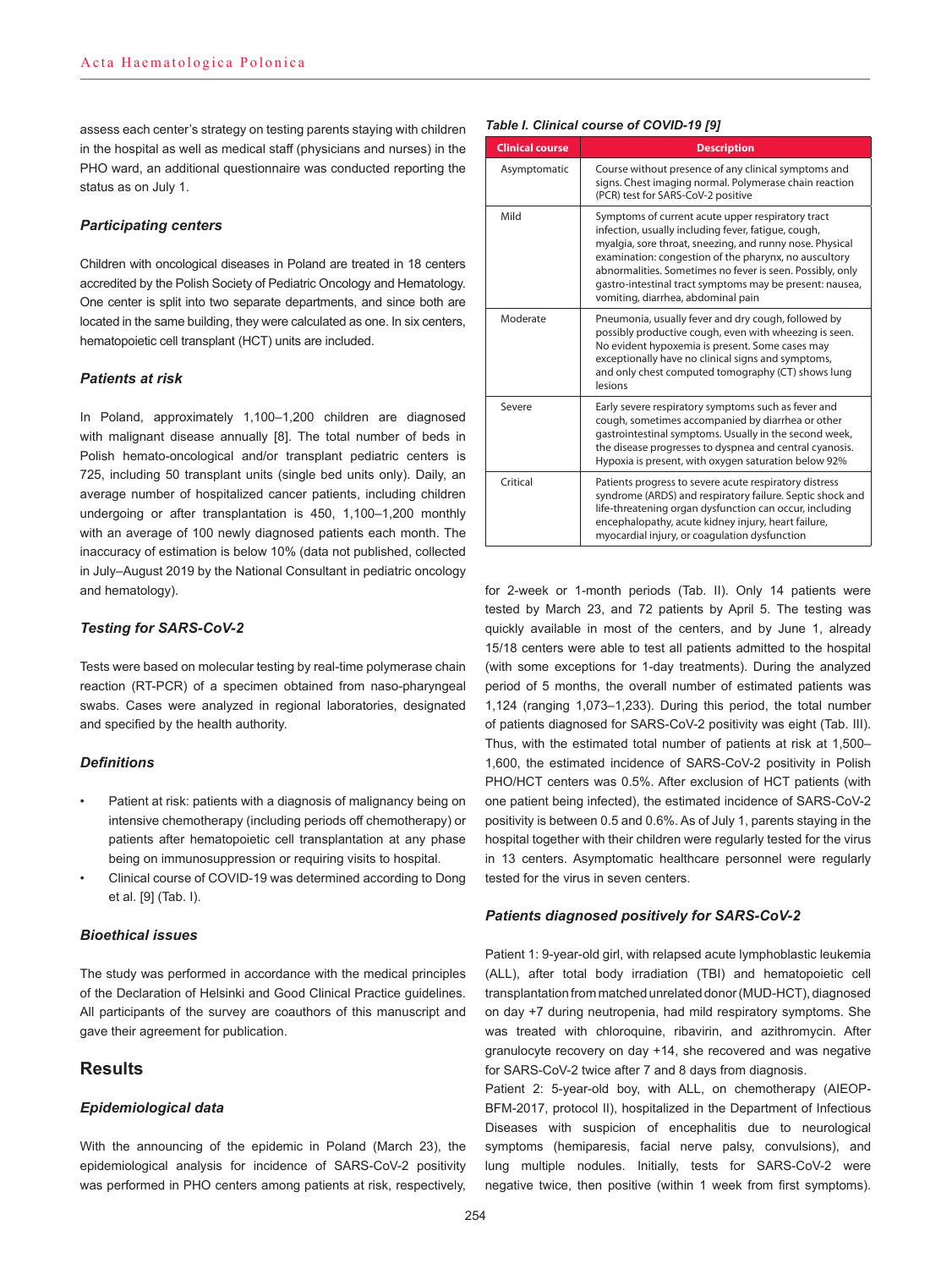assess each center's strategy on testing parents staying with children in the hospital as well as medical staff (physicians and nurses) in the PHO ward, an additional questionnaire was conducted reporting the status as on July 1.

#### *Participating centers*

Children with oncological diseases in Poland are treated in 18 centers accredited by the Polish Society of Pediatric Oncology and Hematology. One center is split into two separate departments, and since both are located in the same building, they were calculated as one. In six centers, hematopoietic cell transplant (HCT) units are included.

# *Patients at risk*

In Poland, approximately 1,100–1,200 children are diagnosed with malignant disease annually [8]. The total number of beds in Polish hemato-oncological and/or transplant pediatric centers is 725, including 50 transplant units (single bed units only). Daily, an average number of hospitalized cancer patients, including children undergoing or after transplantation is 450, 1,100–1,200 monthly with an average of 100 newly diagnosed patients each month. The inaccuracy of estimation is below 10% (data not published, collected in July–August 2019 by the National Consultant in pediatric oncology and hematology).

#### *Testing for SARS-CoV-2*

Tests were based on molecular testing by real-time polymerase chain reaction (RT-PCR) of a specimen obtained from naso-pharyngeal swabs. Cases were analyzed in regional laboratories, designated and specified by the health authority.

#### *Definitions*

- Patient at risk: patients with a diagnosis of malignancy being on intensive chemotherapy (including periods off chemotherapy) or patients after hematopoietic cell transplantation at any phase being on immunosuppression or requiring visits to hospital.
- Clinical course of COVID-19 was determined according to Dong et al. [9] (Tab. I).

#### *Bioethical issues*

The study was performed in accordance with the medical principles of the Declaration of Helsinki and Good Clinical Practice guidelines. All participants of the survey are coauthors of this manuscript and gave their agreement for publication.

# **Results**

### *Epidemiological data*

With the announcing of the epidemic in Poland (March 23), the epidemiological analysis for incidence of SARS-CoV-2 positivity was performed in PHO centers among patients at risk, respectively,

| <b>Clinical course</b> | <b>Description</b>                                                                                                                                                                                                                                                                                                                                                                           |
|------------------------|----------------------------------------------------------------------------------------------------------------------------------------------------------------------------------------------------------------------------------------------------------------------------------------------------------------------------------------------------------------------------------------------|
| Asymptomatic           | Course without presence of any clinical symptoms and<br>signs. Chest imaging normal. Polymerase chain reaction<br>(PCR) test for SARS-CoV-2 positive                                                                                                                                                                                                                                         |
| Mild                   | Symptoms of current acute upper respiratory tract<br>infection, usually including fever, fatigue, cough,<br>myalgia, sore throat, sneezing, and runny nose. Physical<br>examination: congestion of the pharynx, no auscultory<br>abnormalities. Sometimes no fever is seen. Possibly, only<br>gastro-intestinal tract symptoms may be present: nausea,<br>vomiting, diarrhea, abdominal pain |
| Moderate               | Pneumonia, usually fever and dry cough, followed by<br>possibly productive cough, even with wheezing is seen.<br>No evident hypoxemia is present. Some cases may<br>exceptionally have no clinical signs and symptoms,<br>and only chest computed tomography (CT) shows lung<br>lesions                                                                                                      |
| Severe                 | Early severe respiratory symptoms such as fever and<br>cough, sometimes accompanied by diarrhea or other<br>gastrointestinal symptoms. Usually in the second week,<br>the disease progresses to dyspnea and central cyanosis.<br>Hypoxia is present, with oxygen saturation below 92%                                                                                                        |
| Critical               | Patients progress to severe acute respiratory distress<br>syndrome (ARDS) and respiratory failure. Septic shock and<br>life-threatening organ dysfunction can occur, including<br>encephalopathy, acute kidney injury, heart failure,<br>myocardial injury, or coagulation dysfunction                                                                                                       |

for 2-week or 1-month periods (Tab. II). Only 14 patients were tested by March 23, and 72 patients by April 5. The testing was quickly available in most of the centers, and by June 1, already 15/18 centers were able to test all patients admitted to the hospital (with some exceptions for 1-day treatments). During the analyzed period of 5 months, the overall number of estimated patients was 1,124 (ranging 1,073–1,233). During this period, the total number of patients diagnosed for SARS-CoV-2 positivity was eight (Tab. III). Thus, with the estimated total number of patients at risk at 1,500– 1,600, the estimated incidence of SARS-CoV-2 positivity in Polish PHO/HCT centers was 0.5%. After exclusion of HCT patients (with one patient being infected), the estimated incidence of SARS-CoV-2 positivity is between 0.5 and 0.6%. As of July 1, parents staying in the hospital together with their children were regularly tested for the virus in 13 centers. Asymptomatic healthcare personnel were regularly tested for the virus in seven centers.

#### *Patients diagnosed positively for SARS-CoV-2*

Patient 1: 9-year-old girl, with relapsed acute lymphoblastic leukemia (ALL), after total body irradiation (TBI) and hematopoietic cell transplantation from matched unrelated donor (MUD-HCT), diagnosed on day +7 during neutropenia, had mild respiratory symptoms. She was treated with chloroquine, ribavirin, and azithromycin. After granulocyte recovery on day +14, she recovered and was negative for SARS-CoV-2 twice after 7 and 8 days from diagnosis.

Patient 2: 5-year-old boy, with ALL, on chemotherapy (AIEOP-BFM-2017, protocol II), hospitalized in the Department of Infectious Diseases with suspicion of encephalitis due to neurological symptoms (hemiparesis, facial nerve palsy, convulsions), and lung multiple nodules. Initially, tests for SARS-CoV-2 were negative twice, then positive (within 1 week from first symptoms).

# *Table I. Clinical course of COVID-19 [9]*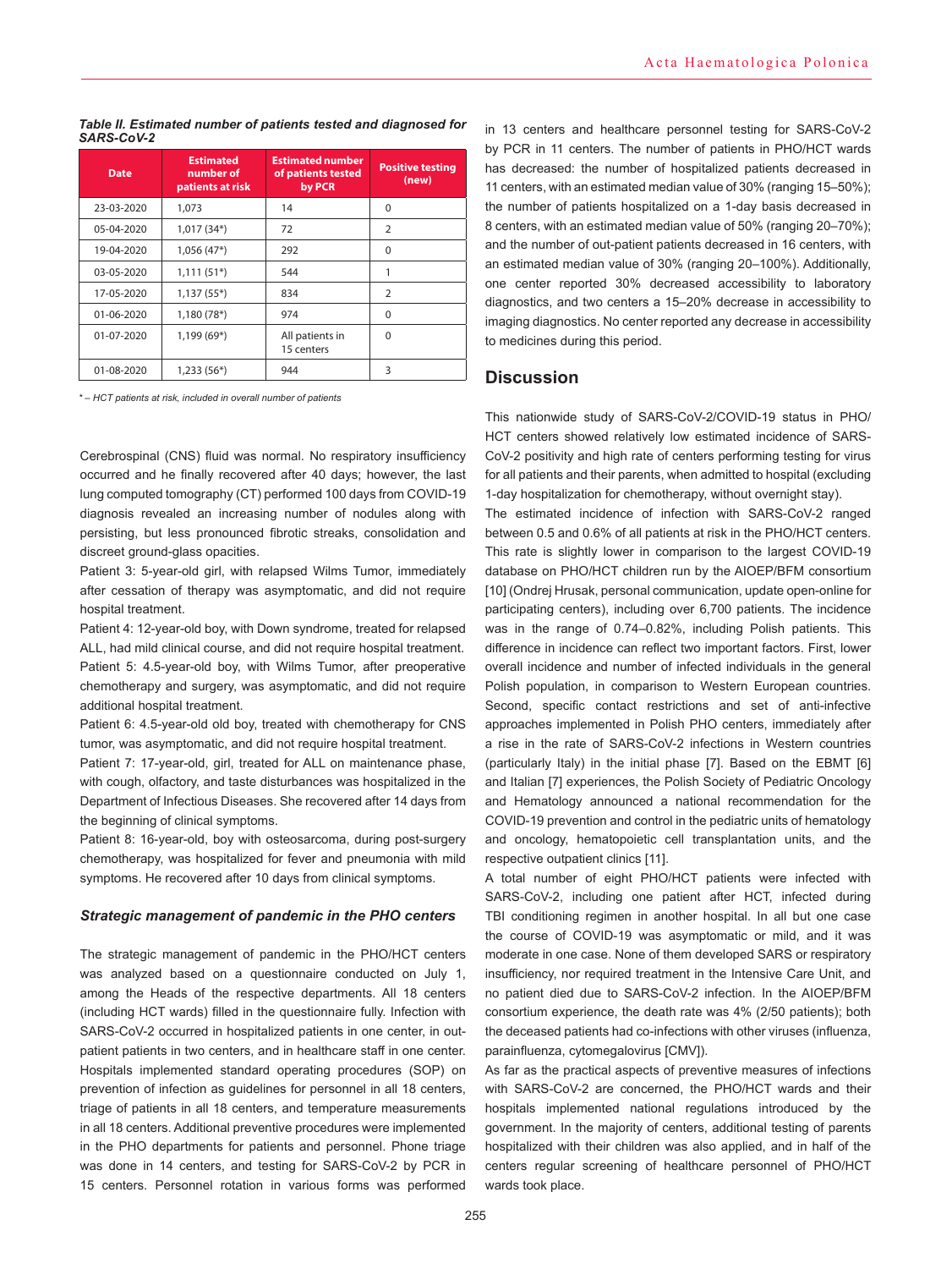#### *Table II. Estimated number of patients tested and diagnosed for SARS-CoV-2*

| <b>Estimated</b><br>number of<br><b>Date</b><br>patients at risk |              | <b>Estimated number</b><br>of patients tested<br>by PCR | <b>Positive testing</b><br>(new) |  |
|------------------------------------------------------------------|--------------|---------------------------------------------------------|----------------------------------|--|
| 23-03-2020                                                       | 1,073        | 14                                                      | $\Omega$                         |  |
| 05-04-2020                                                       | $1,017(34*)$ | 72                                                      | $\overline{2}$                   |  |
| 19-04-2020                                                       | $1,056(47*)$ | 292                                                     | $\Omega$                         |  |
| 03-05-2020                                                       | $1,111(51*)$ | 544                                                     | 1                                |  |
| 17-05-2020                                                       | $1,137(55*)$ | 834                                                     | $\overline{2}$                   |  |
| 01-06-2020                                                       | $1,180(78*)$ | 974                                                     | $\Omega$                         |  |
| 01-07-2020                                                       | $1,199(69*)$ | All patients in<br>15 centers                           | $\Omega$                         |  |
| 01-08-2020                                                       | $1,233(56*)$ | 944                                                     | 3                                |  |

*\* – HCT patients at risk, included in overall number of patients*

Cerebrospinal (CNS) fluid was normal. No respiratory insufficiency occurred and he finally recovered after 40 days; however, the last lung computed tomography (CT) performed 100 days from COVID-19 diagnosis revealed an increasing number of nodules along with persisting, but less pronounced fibrotic streaks, consolidation and discreet ground-glass opacities.

Patient 3: 5-year-old girl, with relapsed Wilms Tumor, immediately after cessation of therapy was asymptomatic, and did not require hospital treatment.

Patient 4: 12-year-old boy, with Down syndrome, treated for relapsed ALL, had mild clinical course, and did not require hospital treatment. Patient 5: 4.5-year-old boy, with Wilms Tumor, after preoperative chemotherapy and surgery, was asymptomatic, and did not require additional hospital treatment.

Patient 6: 4.5-year-old old boy, treated with chemotherapy for CNS tumor, was asymptomatic, and did not require hospital treatment.

Patient 7: 17-year-old, girl, treated for ALL on maintenance phase, with cough, olfactory, and taste disturbances was hospitalized in the Department of Infectious Diseases. She recovered after 14 days from the beginning of clinical symptoms.

Patient 8: 16-year-old, boy with osteosarcoma, during post-surgery chemotherapy, was hospitalized for fever and pneumonia with mild symptoms. He recovered after 10 days from clinical symptoms.

#### *Strategic management of pandemic in the PHO centers*

The strategic management of pandemic in the PHO/HCT centers was analyzed based on a questionnaire conducted on July 1, among the Heads of the respective departments. All 18 centers (including HCT wards) filled in the questionnaire fully. Infection with SARS-CoV-2 occurred in hospitalized patients in one center, in outpatient patients in two centers, and in healthcare staff in one center. Hospitals implemented standard operating procedures (SOP) on prevention of infection as guidelines for personnel in all 18 centers, triage of patients in all 18 centers, and temperature measurements in all 18 centers. Additional preventive procedures were implemented in the PHO departments for patients and personnel. Phone triage was done in 14 centers, and testing for SARS-CoV-2 by PCR in 15 centers. Personnel rotation in various forms was performed

in 13 centers and healthcare personnel testing for SARS-CoV-2 by PCR in 11 centers. The number of patients in PHO/HCT wards has decreased: the number of hospitalized patients decreased in 11 centers, with an estimated median value of 30% (ranging 15–50%); the number of patients hospitalized on a 1-day basis decreased in 8 centers, with an estimated median value of 50% (ranging 20–70%); and the number of out-patient patients decreased in 16 centers, with an estimated median value of 30% (ranging 20–100%). Additionally, one center reported 30% decreased accessibility to laboratory diagnostics, and two centers a 15–20% decrease in accessibility to imaging diagnostics. No center reported any decrease in accessibility to medicines during this period.

# **Discussion**

This nationwide study of SARS-CoV-2/COVID-19 status in PHO/ HCT centers showed relatively low estimated incidence of SARS-CoV-2 positivity and high rate of centers performing testing for virus for all patients and their parents, when admitted to hospital (excluding 1-day hospitalization for chemotherapy, without overnight stay).

The estimated incidence of infection with SARS-CoV-2 ranged between 0.5 and 0.6% of all patients at risk in the PHO/HCT centers. This rate is slightly lower in comparison to the largest COVID-19 database on PHO/HCT children run by the AIOEP/BFM consortium [10] (Ondrej Hrusak, personal communication, update open-online for participating centers), including over 6,700 patients. The incidence was in the range of 0.74–0.82%, including Polish patients. This difference in incidence can reflect two important factors. First, lower overall incidence and number of infected individuals in the general Polish population, in comparison to Western European countries. Second, specific contact restrictions and set of anti-infective approaches implemented in Polish PHO centers, immediately after a rise in the rate of SARS-CoV-2 infections in Western countries (particularly Italy) in the initial phase [7]. Based on the EBMT [6] and Italian [7] experiences, the Polish Society of Pediatric Oncology and Hematology announced a national recommendation for the COVID-19 prevention and control in the pediatric units of hematology and oncology, hematopoietic cell transplantation units, and the respective outpatient clinics [11].

A total number of eight PHO/HCT patients were infected with SARS-CoV-2, including one patient after HCT, infected during TBI conditioning regimen in another hospital. In all but one case the course of COVID-19 was asymptomatic or mild, and it was moderate in one case. None of them developed SARS or respiratory insufficiency, nor required treatment in the Intensive Care Unit, and no patient died due to SARS-CoV-2 infection. In the AIOEP/BFM consortium experience, the death rate was 4% (2/50 patients); both the deceased patients had co-infections with other viruses (influenza, parainfluenza, cytomegalovirus [CMV]).

As far as the practical aspects of preventive measures of infections with SARS-CoV-2 are concerned, the PHO/HCT wards and their hospitals implemented national regulations introduced by the government. In the majority of centers, additional testing of parents hospitalized with their children was also applied, and in half of the centers regular screening of healthcare personnel of PHO/HCT wards took place.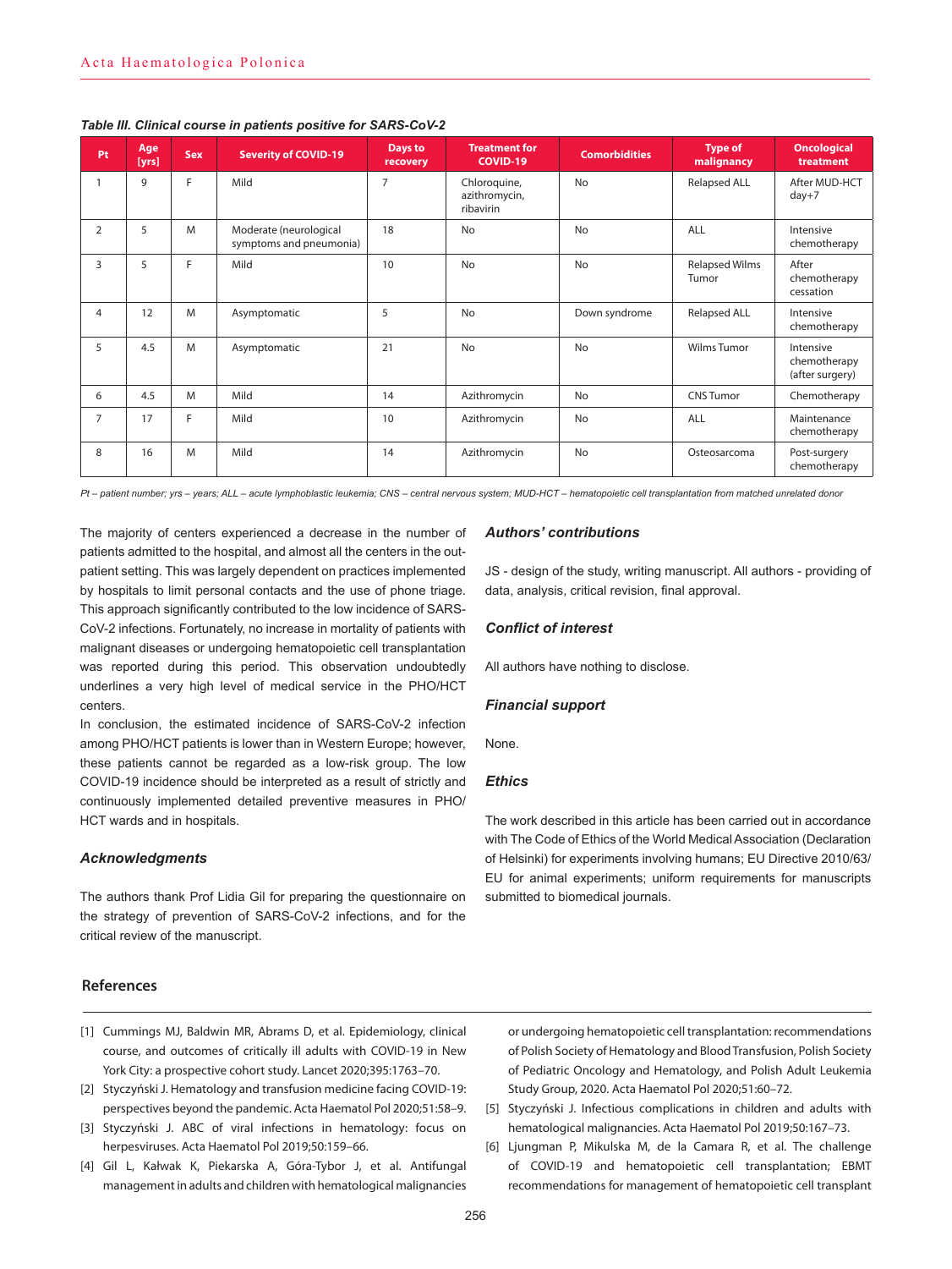| Pt             | Age<br>[yrs] | Sex | <b>Severity of COVID-19</b>                       | Days to<br>recovery | <b>Treatment for</b><br><b>COVID-19</b>    | <b>Comorbidities</b> | <b>Type of</b><br>malignancy   | <b>Oncological</b><br>treatment              |  |
|----------------|--------------|-----|---------------------------------------------------|---------------------|--------------------------------------------|----------------------|--------------------------------|----------------------------------------------|--|
|                | 9            | E   | Mild                                              | $\overline{7}$      | Chloroquine,<br>azithromycin,<br>ribavirin | No                   | <b>Relapsed ALL</b>            | After MUD-HCT<br>$day+7$                     |  |
| $\overline{2}$ | 5            | M   | Moderate (neurological<br>symptoms and pneumonia) | 18                  | No                                         | No                   | ALL                            | Intensive<br>chemotherapy                    |  |
| 3              | 5            | E   | Mild                                              | 10                  | <b>No</b>                                  | <b>No</b>            | <b>Relapsed Wilms</b><br>Tumor | After<br>chemotherapy<br>cessation           |  |
| $\overline{4}$ | 12           | M   | Asymptomatic                                      | 5                   | No                                         | Down syndrome        | <b>Relapsed ALL</b>            | Intensive<br>chemotherapy                    |  |
| 5              | 4.5          | M   | Asymptomatic                                      | 21                  | <b>No</b>                                  | <b>No</b>            | <b>Wilms Tumor</b>             | Intensive<br>chemotherapy<br>(after surgery) |  |
| 6              | 4.5          | M   | Mild                                              | 14                  | Azithromycin                               | <b>No</b>            | <b>CNS Tumor</b>               | Chemotherapy                                 |  |
| $\overline{7}$ | 17           | F.  | Mild                                              | 10                  | Azithromycin                               | No                   | ALL                            | Maintenance<br>chemotherapy                  |  |
| 8              | 16           | M   | Mild                                              | 14                  | Azithromycin                               | <b>No</b>            | Osteosarcoma                   | Post-surgery<br>chemotherapy                 |  |

#### *Table III. Clinical course in patients positive for SARS-CoV-2*

*Pt – patient number; yrs – years; ALL – acute lymphoblastic leukemia; CNS – central nervous system; MUD-HCT – hematopoietic cell transplantation from matched unrelated donor*

The majority of centers experienced a decrease in the number of patients admitted to the hospital, and almost all the centers in the outpatient setting. This was largely dependent on practices implemented by hospitals to limit personal contacts and the use of phone triage. This approach significantly contributed to the low incidence of SARS-CoV-2 infections. Fortunately, no increase in mortality of patients with malignant diseases or undergoing hematopoietic cell transplantation was reported during this period. This observation undoubtedly underlines a very high level of medical service in the PHO/HCT centers.

In conclusion, the estimated incidence of SARS-CoV-2 infection among PHO/HCT patients is lower than in Western Europe; however, these patients cannot be regarded as a low-risk group. The low COVID-19 incidence should be interpreted as a result of strictly and continuously implemented detailed preventive measures in PHO/ HCT wards and in hospitals.

#### *Acknowledgments*

The authors thank Prof Lidia Gil for preparing the questionnaire on the strategy of prevention of SARS-CoV-2 infections, and for the critical review of the manuscript.

#### **References**

- [1] Cummings MJ, Baldwin MR, Abrams D, et al. Epidemiology, clinical course, and outcomes of critically ill adults with COVID-19 in New York City: a prospective cohort study. Lancet 2020;395:1763–70.
- [2] Styczyński J. Hematology and transfusion medicine facing COVID-19: perspectives beyond the pandemic. Acta Haematol Pol 2020;51:58–9.
- [3] Styczyński J. ABC of viral infections in hematology: focus on herpesviruses. Acta Haematol Pol 2019;50:159–66.
- [4] Gil L, Kałwak K, Piekarska A, Góra-Tybor J, et al. Antifungal management in adults and children with hematological malignancies

#### *Authors' contributions*

JS - design of the study, writing manuscript. All authors - providing of data, analysis, critical revision, final approval.

#### *Conflict of interest*

All authors have nothing to disclose.

#### *Financial support*

None.

# *Ethics*

The work described in this article has been carried out in accordance with The Code of Ethics of the World Medical Association (Declaration of Helsinki) for experiments involving humans; EU Directive 2010/63/ EU for animal experiments; uniform requirements for manuscripts submitted to biomedical journals.

or undergoing hematopoietic cell transplantation: recommendations of Polish Society of Hematology and Blood Transfusion, Polish Society of Pediatric Oncology and Hematology, and Polish Adult Leukemia Study Group, 2020. Acta Haematol Pol 2020;51:60–72.

- [5] Styczyński J. Infectious complications in children and adults with hematological malignancies. Acta Haematol Pol 2019;50:167–73.
- [6] Ljungman P, Mikulska M, de la Camara R, et al. The challenge of COVID-19 and hematopoietic cell transplantation; EBMT recommendations for management of hematopoietic cell transplant